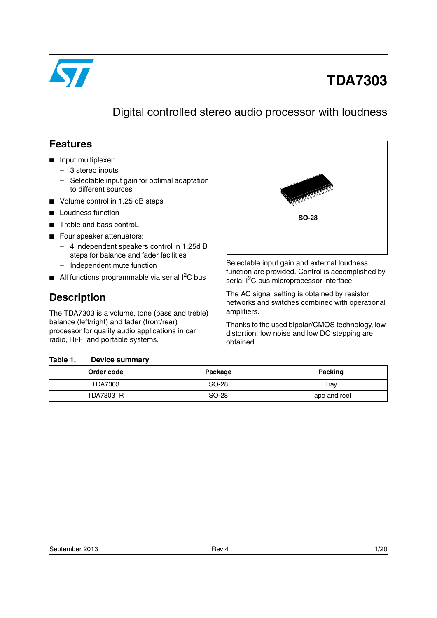

# **TDA7303**

# Digital controlled stereo audio processor with loudness

## **Features**

- Input multiplexer:
	- 3 stereo inputs
	- Selectable input gain for optimal adaptation to different sources
- Volume control in 1.25 dB steps
- **Loudness function**
- Treble and bass controL
- Four speaker attenuators:
	- 4 independent speakers control in 1.25d B steps for balance and fader facilities
	- Independent mute function
- $\blacksquare$  All functions programmable via serial  $l^2C$  bus

## **Description**

The TDA7303 is a volume, tone (bass and treble) balance (left/right) and fader (front/rear) processor for quality audio applications in car radio, Hi-Fi and portable systems.

#### <span id="page-0-0"></span>Table 1. **Device summary**



Selectable input gain and external loudness function are provided. Control is accomplished by serial I<sup>2</sup>C bus microprocessor interface.

The AC signal setting is obtained by resistor networks and switches combined with operational amplifiers.

Thanks to the used bipolar/CMOS technology, low distortion, low noise and low DC stepping are obtained.

| Order code | Package | <b>Packing</b> |  |  |
|------------|---------|----------------|--|--|
| TDA7303    | SO-28   | Trav           |  |  |
| TDA7303TR  | SO-28   | Tape and reel  |  |  |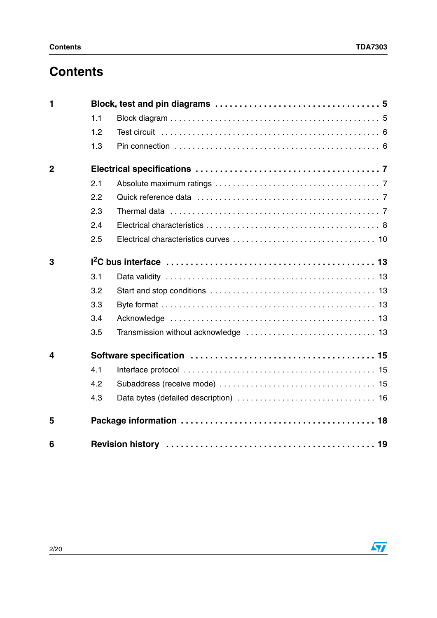# **Contents**

| 1              |     |  |
|----------------|-----|--|
|                | 1.1 |  |
|                | 1.2 |  |
|                | 1.3 |  |
| $\overline{2}$ |     |  |
|                | 2.1 |  |
|                | 2.2 |  |
|                | 2.3 |  |
|                | 2.4 |  |
|                | 2.5 |  |
| 3              |     |  |
|                | 3.1 |  |
|                | 3.2 |  |
|                | 3.3 |  |
|                | 3.4 |  |
|                | 3.5 |  |
| 4              |     |  |
|                | 4.1 |  |
|                | 4.2 |  |
|                | 4.3 |  |
| 5              |     |  |
| 6              |     |  |

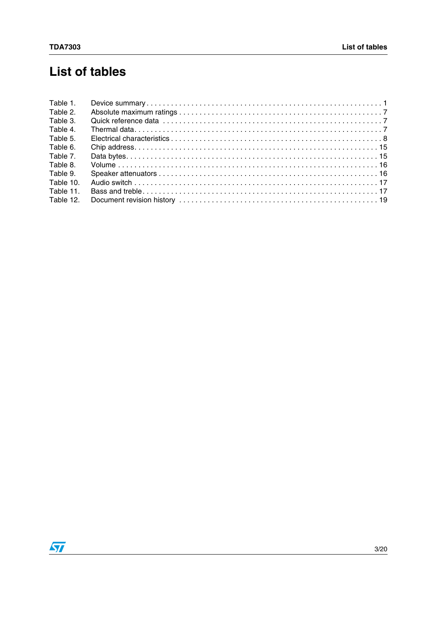# **List of tables**

| Table 1.  |  |
|-----------|--|
| Table 2.  |  |
| Table 3.  |  |
| Table 4.  |  |
| Table 5.  |  |
| Table 6.  |  |
| Table 7.  |  |
| Table 8.  |  |
| Table 9.  |  |
| Table 10. |  |
| Table 11. |  |
| Table 12. |  |

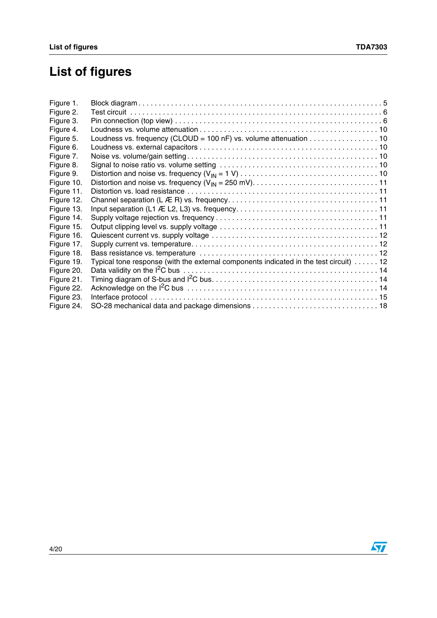# **List of figures**

| Figure 1.  |                                                                                        |
|------------|----------------------------------------------------------------------------------------|
| Figure 2.  |                                                                                        |
| Figure 3.  |                                                                                        |
| Figure 4.  |                                                                                        |
| Figure 5.  | Loudness vs. frequency (CLOUD = 100 nF) vs. volume attenuation 10                      |
| Figure 6.  |                                                                                        |
| Figure 7.  |                                                                                        |
| Figure 8.  |                                                                                        |
| Figure 9.  |                                                                                        |
| Figure 10. |                                                                                        |
| Figure 11. |                                                                                        |
| Figure 12. |                                                                                        |
| Figure 13. |                                                                                        |
| Figure 14. |                                                                                        |
| Figure 15. |                                                                                        |
| Figure 16. |                                                                                        |
| Figure 17. |                                                                                        |
| Figure 18. |                                                                                        |
| Figure 19. | Typical tone response (with the external components indicated in the test circuit)  12 |
| Figure 20. |                                                                                        |
| Figure 21. |                                                                                        |
| Figure 22. |                                                                                        |
| Figure 23. |                                                                                        |
| Figure 24. |                                                                                        |

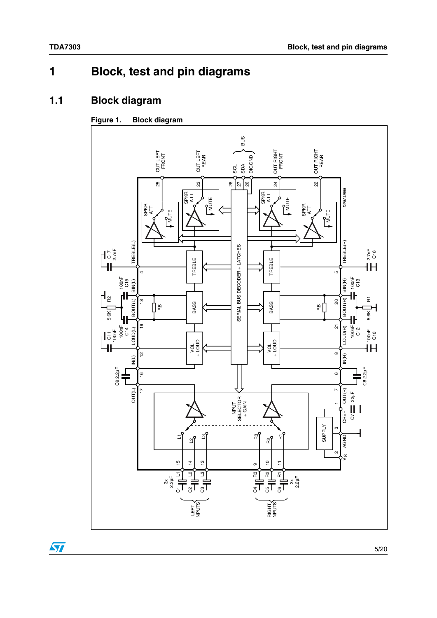# <span id="page-4-0"></span>**1 Block, test and pin diagrams**

## <span id="page-4-1"></span>**1.1 Block diagram**

#### <span id="page-4-2"></span>**Figure 1. Block diagram**



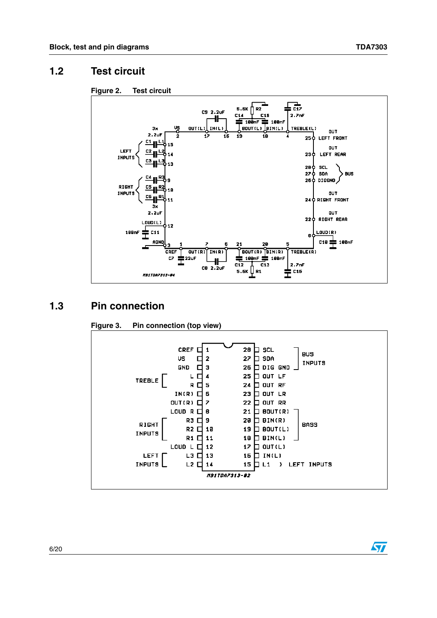$\sqrt{2}$ 

#### <span id="page-5-0"></span>**1.2 Test circuit**

<span id="page-5-2"></span>



#### <span id="page-5-1"></span>**1.3 Pin connection**



#### <span id="page-5-3"></span>**Figure 3. Pin connection (top view)**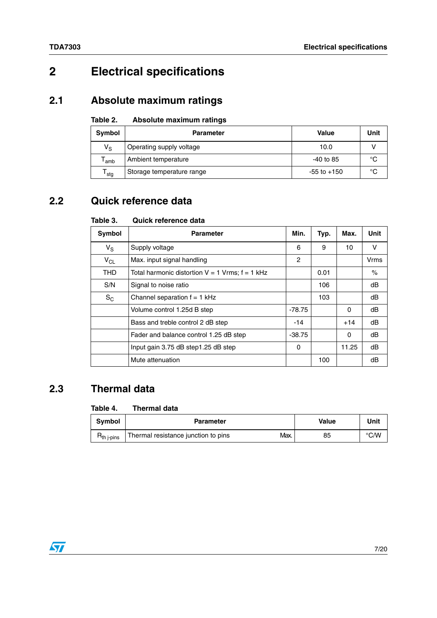# <span id="page-6-0"></span>**2 Electrical specifications**

## <span id="page-6-1"></span>**2.1 Absolute maximum ratings**

#### <span id="page-6-4"></span>Table 2. **Absolute maximum ratings**

| Symbol          | <b>Parameter</b>          | <b>Value</b>    | <b>Unit</b> |
|-----------------|---------------------------|-----------------|-------------|
| $V_S$           | Operating supply voltage  | 10.0            |             |
| amb             | Ambient temperature       | $-40$ to 85     | °C          |
| ${\tt T_{stg}}$ | Storage temperature range | $-55$ to $+150$ | °C          |

## <span id="page-6-2"></span>**2.2 Quick reference data**

#### <span id="page-6-5"></span>Table 3. **Table 3. Quick reference data**

| Symbol      | <b>Parameter</b>                                    | Min.     | Typ. | Max.     | Unit |
|-------------|-----------------------------------------------------|----------|------|----------|------|
| $V_{\rm S}$ | Supply voltage                                      | 6        | 9    | 10       | v    |
| $V_{CL}$    | Max. input signal handling                          | 2        |      |          | Vrms |
| <b>THD</b>  | Total harmonic distortion $V = 1$ Vrms; $f = 1$ kHz |          | 0.01 |          | $\%$ |
| S/N         | Signal to noise ratio                               |          | 106  |          | dB   |
| $S_{C}$     | Channel separation $f = 1$ kHz                      |          | 103  |          | dB   |
|             | Volume control 1.25d B step                         | -78.75   |      | $\Omega$ | dB   |
|             | Bass and treble control 2 dB step                   | -14      |      | $+14$    | dB   |
|             | Fader and balance control 1.25 dB step              | $-38.75$ |      | $\Omega$ | dB   |
|             | Input gain 3.75 dB step1.25 dB step                 | 0        |      | 11.25    | dB   |
|             | Mute attenuation                                    |          | 100  |          | dB   |

## <span id="page-6-3"></span>**2.3 Thermal data**

#### <span id="page-6-6"></span>Table 4. **Thermal data**

| <b>Symbol</b>   | <b>Parameter</b>                            | Value | Unit |
|-----------------|---------------------------------------------|-------|------|
| $H_{th}$ j-pins | Max.<br>Thermal resistance junction to pins | 85    | °C/W |

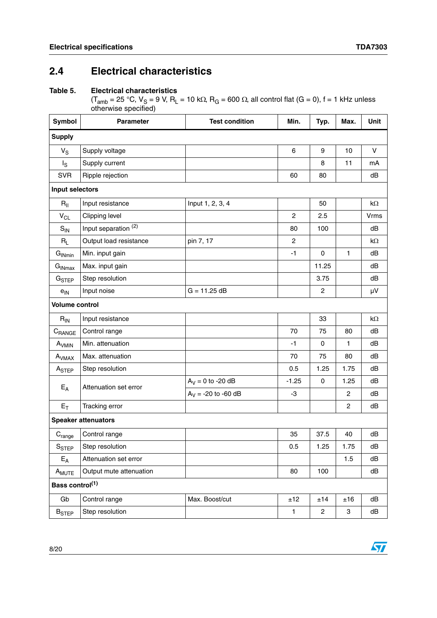$\sqrt{2}$ 

## <span id="page-7-0"></span>**2.4 Electrical characteristics**

#### <span id="page-7-1"></span>**Table 5. Electrical characteristics**

(T<sub>amb</sub> = 25 °C, V<sub>S</sub> = 9 V, R<sub>L</sub> = 10 kΩ, R<sub>G</sub> = 600 Ω, all control flat (G = 0), f = 1 kHz unless otherwise specified)

| Symbol                      | <b>Parameter</b><br><b>Test condition</b> |                       | Min.           | Typ.           | Max.           | Unit        |
|-----------------------------|-------------------------------------------|-----------------------|----------------|----------------|----------------|-------------|
| <b>Supply</b>               |                                           |                       |                |                |                |             |
| $V_S$                       | Supply voltage                            |                       | 6              | 9              | 10             | $\mathsf V$ |
| $I_{\rm S}$                 | Supply current                            |                       |                | 8              | 11             | mA          |
| <b>SVR</b>                  | Ripple rejection                          |                       | 60             | 80             |                | dB          |
| Input selectors             |                                           |                       |                |                |                |             |
| $R_{\parallel}$             | Input resistance                          | Input 1, 2, 3, 4      |                | 50             |                | $k\Omega$   |
| $\mathsf{V}_{\mathsf{CL}}$  | Clipping level                            |                       | $\overline{c}$ | 2.5            |                | Vrms        |
| $S_{IN}$                    | Input separation <sup>(2)</sup>           |                       | 80             | 100            |                | dB          |
| $R_L$                       | Output load resistance                    | pin 7, 17             | $\overline{2}$ |                |                | $k\Omega$   |
| $G_{INmin}$                 | Min. input gain                           |                       | $-1$           | $\mathbf 0$    | 1              | dB          |
| G <sub>INmax</sub>          | Max. input gain                           |                       |                | 11.25          |                | dB          |
| G <sub>STEP</sub>           | Step resolution                           |                       |                | 3.75           |                | dB          |
| $e$ <sub>IN</sub>           | Input noise                               | $G = 11.25 dB$        |                | $\overline{c}$ |                | μV          |
| <b>Volume control</b>       |                                           |                       |                |                |                |             |
| $R_{IN}$                    | Input resistance                          |                       |                | 33             |                | $k\Omega$   |
| $C_{\text{RANGE}}$          | Control range                             |                       | 70             | 75             | 80             | dB          |
| A <sub>VMIN</sub>           | Min. attenuation                          |                       | $-1$           | 0              | 1              | dB          |
| A <sub>VMAX</sub>           | Max. attenuation                          |                       | 70             | 75             | 80             | dB          |
| A <sub>STEP</sub>           | Step resolution                           |                       | 0.5            | 1.25           | 1.75           | dB          |
| $E_A$                       | Attenuation set error                     | $A_V = 0$ to -20 dB   | $-1.25$        | $\mathbf 0$    | 1.25           | dB          |
|                             |                                           | $A_V = -20$ to -60 dB | -3             |                | $\mathbf{2}$   | dB          |
| $E_T$                       | Tracking error                            |                       |                |                | $\overline{c}$ | dB          |
|                             | <b>Speaker attenuators</b>                |                       |                |                |                |             |
| $\mathsf{C}_{\text{range}}$ | Control range                             |                       | 35             | 37.5           | 40             | dB          |
| $S_{\text{STEP}}$           | Step resolution                           |                       | 0.5            | 1.25           | 1.75           | dB          |
| $E_A$                       | Attenuation set error                     |                       |                |                | 1.5            | dB          |
| A <sub>MUTE</sub>           | Output mute attenuation                   |                       | 80             | 100            |                | dB          |
| Bass control <sup>(1)</sup> |                                           |                       |                |                |                |             |
| Gb                          | Control range                             | Max. Boost/cut        | ±12            | ±14            | ±16            | dB          |
| <b>B</b> <sub>STEP</sub>    | Step resolution                           |                       | 1              | $\overline{2}$ | 3              | dB          |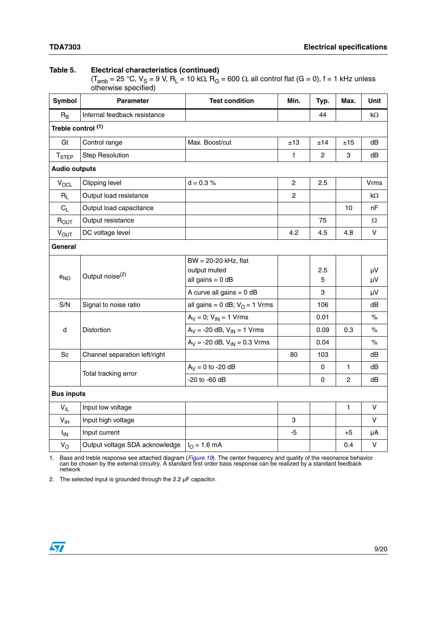#### **Table 5. Electrical characteristics (continued)**

 $(T<sub>amb</sub> = 25 °C, V<sub>S</sub> = 9 V, R<sub>L</sub> = 10 k $\Omega$ , R<sub>G</sub> = 600  $\Omega$ , all control flat (G = 0), f = 1 kHz unless$ otherwise specified)

| Symbol               | <b>Parameter</b>               | <b>Test condition</b>                                                                    | Min.           | Typ.          | Max.           | Unit           |  |
|----------------------|--------------------------------|------------------------------------------------------------------------------------------|----------------|---------------|----------------|----------------|--|
| $R_B$                | Internal feedback resistance   |                                                                                          |                | 44            |                | kΩ             |  |
| Treble control (1)   |                                |                                                                                          |                |               |                |                |  |
| Gt                   | Control range                  | Max. Boost/cut                                                                           | ±13            | ±14           | ±15            | dB             |  |
| T <sub>STEP</sub>    | <b>Step Resolution</b>         |                                                                                          | 1              | $\mathbf{2}$  | 3              | dB             |  |
| <b>Audio outputs</b> |                                |                                                                                          |                |               |                |                |  |
| $V_{OCL}$            | Clipping level                 | $d = 0.3 %$                                                                              | $\overline{c}$ | 2.5           |                | Vrms           |  |
| $R_L$                | Output load resistance         |                                                                                          | $\overline{c}$ |               |                | kΩ             |  |
| $C_L$                | Output load capacitance        |                                                                                          |                |               | 10             | nF             |  |
| $R_{OUT}$            | Output resistance              |                                                                                          |                | 75            |                | Ω              |  |
| $V_{OUT}$            | DC voltage level               |                                                                                          | 4.2            | 4.5           | 4.8            | V              |  |
| General              |                                |                                                                                          |                |               |                |                |  |
| $e_{NO}$             | Output noise <sup>(2)</sup>    | BW = 20-20 kHz, flat<br>output muted<br>all gains = $0$ dB<br>A curve all gains $= 0$ dB |                | 2.5<br>5<br>3 |                | μV<br>μV<br>μV |  |
| S/N                  | Signal to noise ratio          | all gains = $0$ dB; $VO$ = 1 Vrms                                                        |                | 106           |                | dB             |  |
|                      |                                | $A_V = 0$ ; $V_{IN} = 1$ Vrms                                                            |                | 0.01          |                | $\%$           |  |
| d                    | Distortion                     | $A_V = -20$ dB, $V_{IN} = 1$ Vrms                                                        |                | 0.09          | 0.3            | $\%$           |  |
|                      |                                | $A_V = -20$ dB, $V_{IN} = 0.3$ Vrms                                                      |                | 0.04          |                | $\%$           |  |
| Sc                   | Channel separation left/right  |                                                                                          | 80             | 103           |                | dB             |  |
|                      | Total tracking error           | $A_V = 0$ to -20 dB                                                                      |                | 0             | $\mathbf{1}$   | dB             |  |
|                      |                                | -20 to -60 dB                                                                            |                | 0             | $\overline{c}$ | dB             |  |
| <b>Bus inputs</b>    |                                |                                                                                          |                |               |                |                |  |
| $V_{IL}$             | Input low voltage              |                                                                                          |                |               | $\mathbf{1}$   | V              |  |
| $V_{\text{IH}}$      | Input high voltage             |                                                                                          | 3              |               |                | v              |  |
| $I_{IN}$             | Input current                  |                                                                                          | -5             |               | $+5$           | μA             |  |
| $V_{\rm O}$          | Output voltage SDA acknowledge | $I_{O} = 1.6$ mA                                                                         |                |               | 0.4            | V              |  |

1. Bass and treble response see attached diagram ([Figure 19](#page-11-3)). The center frequency and quality of the resonance behavior<br>can be chosen by the external circuitry. A standard first order bass response can be realized by a st network

<span id="page-8-0"></span>2. The selected input is grounded through the 2.2 µF capacitor.

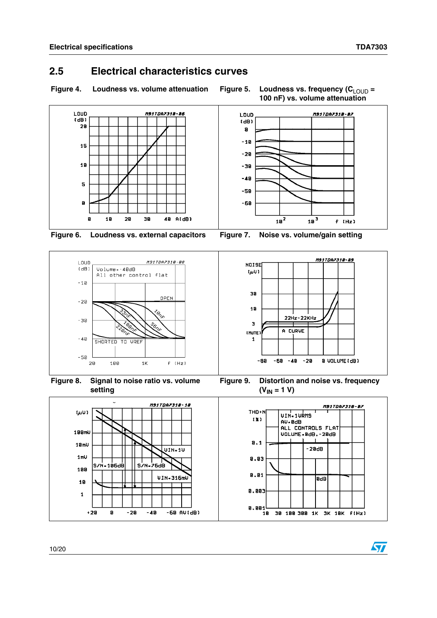$\bm \Omega$ 

#### <span id="page-9-0"></span>**2.5 Electrical characteristics curves**

<span id="page-9-1"></span>Figure 4. Loudness vs. volume attenuation Figure 5. Loudness vs. frequency (C<sub>LOUD</sub> =

<span id="page-9-2"></span>**100 nF) vs. volume attenuation**



<span id="page-9-3"></span>



<span id="page-9-5"></span>**Figure 8. Signal to noise ratio vs. volume setting**

<span id="page-9-4"></span>

<span id="page-9-6"></span>**Figure 9. Distortion and noise vs. frequency**   $(V_{IN} = 1 V)$ 

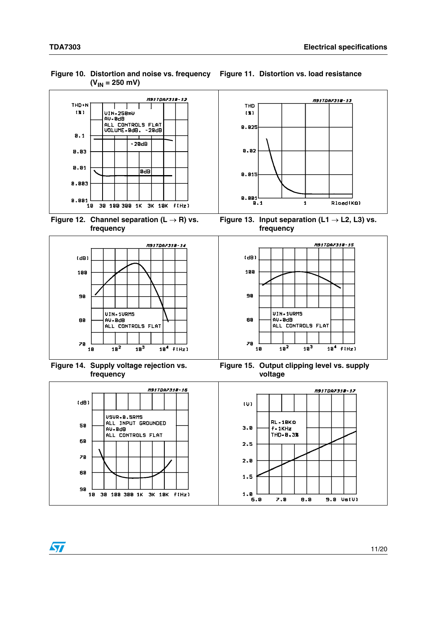<span id="page-10-0"></span>**Figure 10. Distortion and noise vs. frequency Figure 11. Distortion vs. load resistance**  $(V_{IN} = 250$  mV)



<span id="page-10-2"></span>Figure 12. Channel separation  $(L \rightarrow R)$  vs. **frequency**



<span id="page-10-4"></span>**Figure 14. Supply voltage rejection vs. frequency**



 $10<sup>3</sup>$ 

 $18<sup>4</sup>$   $f(Hz)$ 

<span id="page-10-3"></span><span id="page-10-1"></span>Figure 13. Input separation  $(L1 \rightarrow L2, L3)$  vs.

<span id="page-10-5"></span>**Figure 15. Output clipping level vs. supply voltage**

 $18<sup>2</sup>$ 



78

 $18$ 

 $\sqrt{}$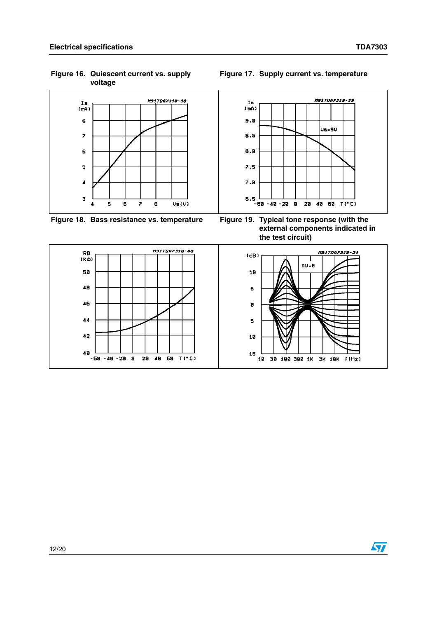<span id="page-11-0"></span>**Figure 16. Quiescent current vs. supply voltage**



<span id="page-11-2"></span>**Figure 18. Bass resistance vs. temperature Figure 19. Typical tone response (with the** 

<span id="page-11-3"></span>**external components indicated in the test circuit)**



#### <span id="page-11-1"></span>**Figure 17. Supply current vs. temperature**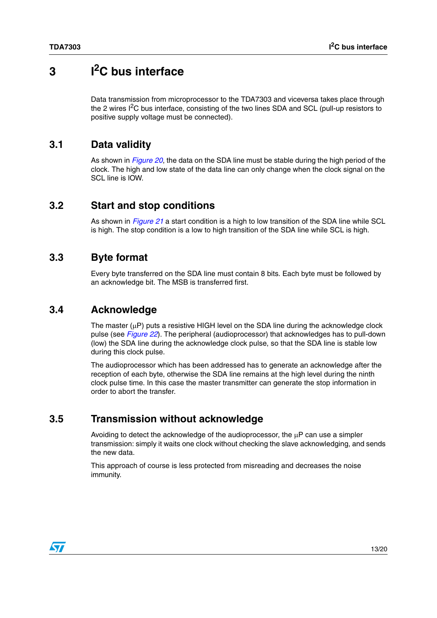# <span id="page-12-0"></span>**3 I2C bus interface**

Data transmission from microprocessor to the TDA7303 and viceversa takes place through the 2 wires  $I^2C$  bus interface, consisting of the two lines SDA and SCL (pull-up resistors to positive supply voltage must be connected).

#### <span id="page-12-1"></span>**3.1 Data validity**

As shown in *[Figure 20](#page-13-0)*, the data on the SDA line must be stable during the high period of the clock. The high and low state of the data line can only change when the clock signal on the SCL line is IOW.

#### <span id="page-12-2"></span>**3.2 Start and stop conditions**

As shown in *[Figure 21](#page-13-1)* a start condition is a high to low transition of the SDA line while SCL is high. The stop condition is a low to high transition of the SDA line while SCL is high.

#### <span id="page-12-3"></span>**3.3 Byte format**

Every byte transferred on the SDA line must contain 8 bits. Each byte must be followed by an acknowledge bit. The MSB is transferred first.

#### <span id="page-12-4"></span>**3.4 Acknowledge**

The master  $(uP)$  puts a resistive HIGH level on the SDA line during the acknowledge clock pulse (see *[Figure 22](#page-13-2)*). The peripheral (audioprocessor) that acknowledges has to pull-down (low) the SDA line during the acknowledge clock pulse, so that the SDA line is stable low during this clock pulse.

The audioprocessor which has been addressed has to generate an acknowledge after the reception of each byte, otherwise the SDA line remains at the high level during the ninth clock pulse time. In this case the master transmitter can generate the stop information in order to abort the transfer.

#### <span id="page-12-5"></span>**3.5 Transmission without acknowledge**

Avoiding to detect the acknowledge of the audioprocessor, the  $\mu$ P can use a simpler transmission: simply it waits one clock without checking the slave acknowledging, and sends the new data.

This approach of course is less protected from misreading and decreases the noise immunity.

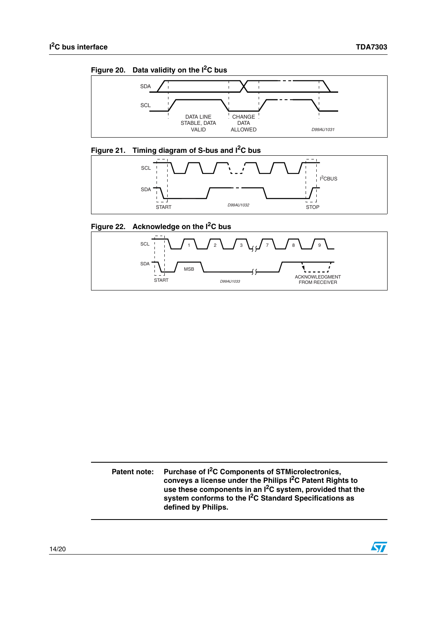$\overline{\mathbf{S}}$ 

<span id="page-13-0"></span>



## <span id="page-13-1"></span>**Figure 21. Timing diagram of S-bus and I2C bus**



#### <span id="page-13-2"></span>**Figure 22. Acknowledge on the I2C bus**



**Patent note: Purchase of I2C Components of STMicrolectronics, conveys a license under the Philips I2C Patent Rights to use these components in an I2C system, provided that the system conforms to the I2C Standard Specifications as defined by Philips.**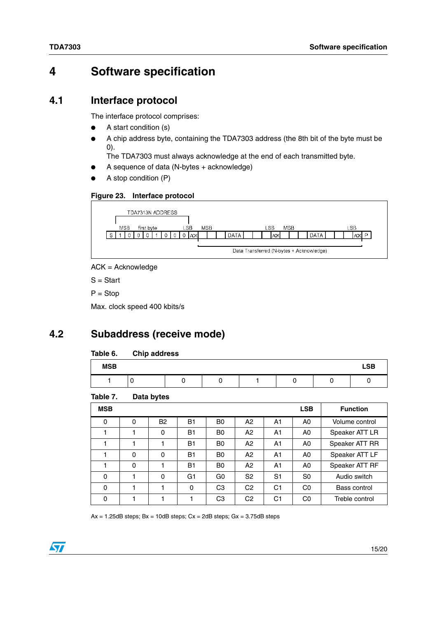# <span id="page-14-0"></span>**4 Software specification**

#### <span id="page-14-1"></span>**4.1 Interface protocol**

The interface protocol comprises:

- A start condition (s)
- A chip address byte, containing the TDA7303 address (the 8th bit of the byte must be 0).

The TDA7303 must always acknowledge at the end of each transmitted byte.

- A sequence of data (N-bytes  $+$  acknowledge)
- A stop condition (P)

<span id="page-14-5"></span>



ACK = Acknowledge

S = Start

 $P = Stop$ 

Max. clock speed 400 kbits/s

## <span id="page-14-2"></span>**4.2 Subaddress (receive mode)**

#### <span id="page-14-3"></span>Table 6. **Chip address**

| <b>MSB</b> |  |  |  | <b>LSB</b> |
|------------|--|--|--|------------|
|            |  |  |  |            |

<span id="page-14-4"></span>Table 7. **Data bytes** 

| <b>MSB</b> |   |             |           |                |                |                | <b>LSB</b>     | <b>Function</b> |
|------------|---|-------------|-----------|----------------|----------------|----------------|----------------|-----------------|
| 0          | 0 | <b>B2</b>   | <b>B1</b> | B <sub>0</sub> | A2             | A1             | A <sub>0</sub> | Volume control  |
|            |   | 0           | <b>B1</b> | B <sub>0</sub> | A2             | A1             | A <sub>0</sub> | Speaker ATT LR  |
|            |   |             | <b>B1</b> | B <sub>0</sub> | A2             | A1             | A <sub>0</sub> | Speaker ATT RR  |
|            | 0 | $\mathbf 0$ | <b>B1</b> | B <sub>0</sub> | A2             | A1             | A <sub>0</sub> | Speaker ATT LF  |
|            | 0 |             | <b>B1</b> | B <sub>0</sub> | A2             | A1             | A <sub>0</sub> | Speaker ATT RF  |
| 0          |   | $\mathbf 0$ | G1        | G <sub>0</sub> | S <sub>2</sub> | S <sub>1</sub> | S <sub>0</sub> | Audio switch    |
| $\Omega$   |   |             | 0         | CЗ             | C <sub>2</sub> | C <sub>1</sub> | C <sub>0</sub> | Bass control    |
| 0          |   |             |           | C <sub>3</sub> | C <sub>2</sub> | C <sub>1</sub> | C <sub>0</sub> | Treble control  |

 $Ax = 1.25dB$  steps;  $Bx = 10dB$  steps;  $Cx = 2dB$  steps;  $Gx = 3.75dB$  steps

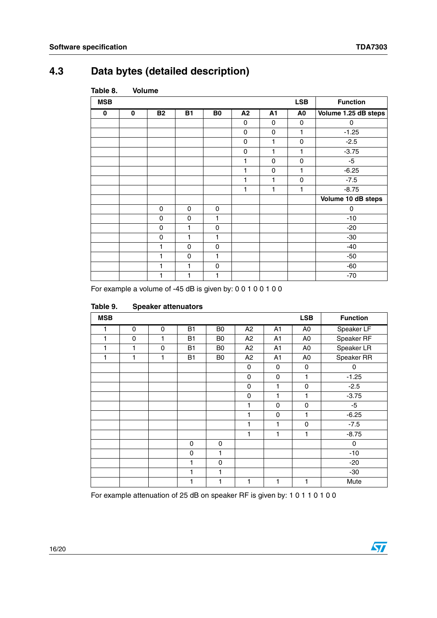# <span id="page-15-0"></span>**4.3 Data bytes (detailed description)**

| <b>MSB</b> |             |             |             |                |             |             | <b>LSB</b>     | <b>Function</b>      |
|------------|-------------|-------------|-------------|----------------|-------------|-------------|----------------|----------------------|
| 0          | $\mathbf 0$ | <b>B2</b>   | <b>B1</b>   | B <sub>0</sub> | A2          | A1          | A <sub>0</sub> | Volume 1.25 dB steps |
|            |             |             |             |                | 0           | $\mathbf 0$ | $\mathbf 0$    | 0                    |
|            |             |             |             |                | $\mathbf 0$ | 0           | 1              | $-1.25$              |
|            |             |             |             |                | 0           | 1           | 0              | $-2.5$               |
|            |             |             |             |                | $\mathbf 0$ | 1           | 1              | $-3.75$              |
|            |             |             |             |                | 1           | 0           | 0              | $-5$                 |
|            |             |             |             |                | 1           | 0           | 1              | $-6.25$              |
|            |             |             |             |                | 1           | 1           | $\mathbf 0$    | $-7.5$               |
|            |             |             |             |                | 1           | 1           | 1              | $-8.75$              |
|            |             |             |             |                |             |             |                | Volume 10 dB steps   |
|            |             | 0           | $\mathbf 0$ | 0              |             |             |                | 0                    |
|            |             | 0           | $\mathbf 0$ | 1              |             |             |                | $-10$                |
|            |             | $\mathbf 0$ | 1           | 0              |             |             |                | $-20$                |
|            |             | $\mathbf 0$ | 1           | 1              |             |             |                | $-30$                |
|            |             | 1           | 0           | 0              |             |             |                | $-40$                |
|            |             | 1           | $\mathbf 0$ | 1              |             |             |                | $-50$                |
|            |             | 1           | 1           | 0              |             |             |                | $-60$                |
|            |             | 1           | 1           | 1              |             |             |                | $-70$                |

#### <span id="page-15-1"></span>**Table 8. Volume**

For example a volume of -45 dB is given by: 0 0 1 0 0 1 0 0

| <b>MSB</b>   |             |   |             |                |                |                | <b>LSB</b>     | <b>Function</b> |
|--------------|-------------|---|-------------|----------------|----------------|----------------|----------------|-----------------|
| 1            | $\mathbf 0$ | 0 | <b>B1</b>   | B <sub>0</sub> | A2             | A1             | A <sub>0</sub> | Speaker LF      |
| $\mathbf{1}$ | 0           | 1 | <b>B1</b>   | B <sub>0</sub> | A2             | A <sub>1</sub> | A <sub>0</sub> | Speaker RF      |
| 1            | 1           | 0 | <b>B1</b>   | B <sub>0</sub> | A2             | A <sub>1</sub> | A0             | Speaker LR      |
| 1            | 1           | 1 | <b>B1</b>   | B <sub>0</sub> | A <sub>2</sub> | A <sub>1</sub> | A <sub>0</sub> | Speaker RR      |
|              |             |   |             |                | 0              | 0              | 0              | 0               |
|              |             |   |             |                | 0              | 0              | 1              | $-1.25$         |
|              |             |   |             |                | $\pmb{0}$      | 1              | 0              | $-2.5$          |
|              |             |   |             |                | $\mathbf 0$    | 1              | 1              | $-3.75$         |
|              |             |   |             |                | 1              | 0              | $\mathsf 0$    | $-5$            |
|              |             |   |             |                | 1              | 0              | 1              | $-6.25$         |
|              |             |   |             |                | 1              | 1              | 0              | $-7.5$          |
|              |             |   |             |                | 1              | 1              | 1              | $-8.75$         |
|              |             |   | $\mathbf 0$ | 0              |                |                |                | 0               |
|              |             |   | 0           | 1              |                |                |                | $-10$           |
|              |             |   | 1           | 0              |                |                |                | $-20$           |
|              |             |   | 1           | 1              |                |                |                | $-30$           |
|              |             |   | 1           | 1              | 1              | 1              | 1              | Mute            |

#### <span id="page-15-2"></span>Table 9. **Speaker attenuators**

For example attenuation of 25 dB on speaker RF is given by: 1 0 1 1 0 1 0 0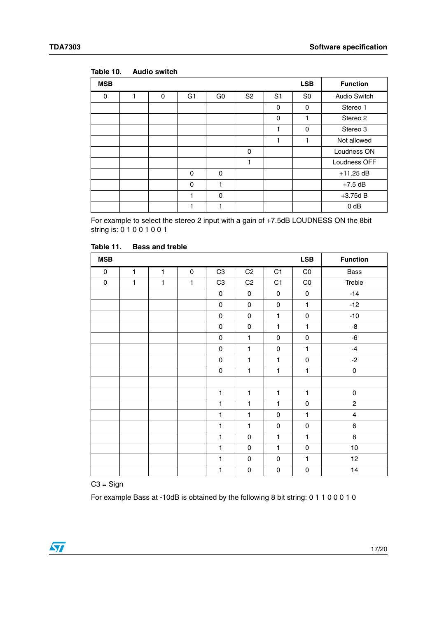| <b>MSB</b> |   |   |                |                |                |                | <b>LSB</b>     | <b>Function</b>     |
|------------|---|---|----------------|----------------|----------------|----------------|----------------|---------------------|
| 0          | 1 | 0 | G <sub>1</sub> | G <sub>0</sub> | S <sub>2</sub> | S <sub>1</sub> | S <sub>0</sub> | <b>Audio Switch</b> |
|            |   |   |                |                |                | $\Omega$       | $\Omega$       | Stereo 1            |
|            |   |   |                |                |                | $\Omega$       | 1              | Stereo 2            |
|            |   |   |                |                |                | 1              | $\Omega$       | Stereo 3            |
|            |   |   |                |                |                | 1              | 1              | Not allowed         |
|            |   |   |                |                | 0              |                |                | Loudness ON         |
|            |   |   |                |                | 1              |                |                | Loudness OFF        |
|            |   |   | $\Omega$       | 0              |                |                |                | $+11.25$ dB         |
|            |   |   | $\Omega$       | 1              |                |                |                | $+7.5$ dB           |
|            |   |   |                | 0              |                |                |                | $+3.75d B$          |
|            |   |   |                | 1              |                |                |                | 0 dB                |

<span id="page-16-0"></span>Table 10. **Table 10. Audio switch**

For example to select the stereo 2 input with a gain of +7.5dB LOUDNESS ON the 8bit string is: 0 1 0 0 1 0 0 1

| <b>MSB</b>  |              |              |              |                |                |              | <b>LSB</b>   | <b>Function</b> |
|-------------|--------------|--------------|--------------|----------------|----------------|--------------|--------------|-----------------|
| $\mathbf 0$ | $\mathbf{1}$ | $\mathbf{1}$ | $\mathbf 0$  | C <sub>3</sub> | C <sub>2</sub> | C1           | CO           | Bass            |
| $\pmb{0}$   | $\mathbf{1}$ | $\mathbf{1}$ | $\mathbf{1}$ | C <sub>3</sub> | C <sub>2</sub> | C1           | CO           | Treble          |
|             |              |              |              | $\mathbf 0$    | 0              | $\mathbf 0$  | 0            | $-14$           |
|             |              |              |              | 0              | 0              | 0            | $\mathbf{1}$ | $-12$           |
|             |              |              |              | 0              | 0              | 1            | $\mathbf 0$  | $-10$           |
|             |              |              |              | 0              | 0              | 1            | $\mathbf{1}$ | -8              |
|             |              |              |              | 0              | $\mathbf{1}$   | 0            | $\mathbf 0$  | -6              |
|             |              |              |              | 0              | $\mathbf{1}$   | 0            | $\mathbf{1}$ | $-4$            |
|             |              |              |              | 0              | $\mathbf{1}$   | 1            | 0            | $-2$            |
|             |              |              |              | 0              | $\mathbf{1}$   | $\mathbf{1}$ | $\mathbf{1}$ | $\mathsf 0$     |
|             |              |              |              |                |                |              |              |                 |
|             |              |              |              | 1              | 1              | 1            | $\mathbf{1}$ | $\mathbf 0$     |
|             |              |              |              | 1              | 1              | 1            | $\mathbf 0$  | $\overline{c}$  |
|             |              |              |              | 1              | $\mathbf{1}$   | 0            | $\mathbf{1}$ | 4               |
|             |              |              |              | $\mathbf{1}$   | $\mathbf{1}$   | 0            | 0            | $\,6$           |
|             |              |              |              | 1              | 0              | 1            | $\mathbf{1}$ | 8               |
|             |              |              |              | 1              | 0              | 1            | $\mathbf 0$  | 10              |
|             |              |              |              | $\mathbf{1}$   | 0              | 0            | $\mathbf{1}$ | 12              |
|             |              |              |              | 1              | 0              | 0            | 0            | 14              |

<span id="page-16-1"></span>Table 11. **Bass and treble** 

 $C3 =$  Sign

For example Bass at -10dB is obtained by the following 8 bit string: 0 1 1 0 0 0 1 0

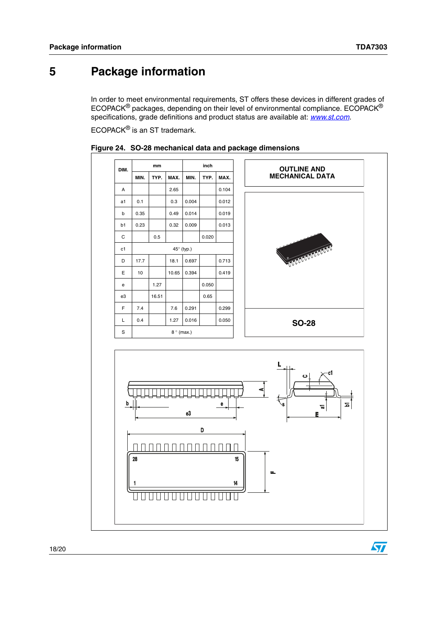$\sqrt{2}$ 

# <span id="page-17-0"></span>**5 Package information**

In order to meet environmental requirements, ST offers these devices in different grades of ECOPACK<sup>®</sup> packages, depending on their level of environmental compliance. ECOPACK<sup>®</sup> specifications, grade definitions and product status are available at: *[www.st.com](http://www.st.com)*.

ECOPACK<sup>®</sup> is an ST trademark.

| DIM.                                                                          | mm   |       |       |            | inch  |       | <b>OUTLINE AND</b>     |  |  |  |  |
|-------------------------------------------------------------------------------|------|-------|-------|------------|-------|-------|------------------------|--|--|--|--|
|                                                                               | MIN. | TYP.  | MAX.  | MIN.       | TYP.  | MAX.  | <b>MECHANICAL DATA</b> |  |  |  |  |
| Α                                                                             |      |       | 2.65  |            |       | 0.104 |                        |  |  |  |  |
| a1                                                                            | 0.1  |       | 0.3   | 0.004      |       | 0.012 |                        |  |  |  |  |
| b                                                                             | 0.35 |       | 0.49  | 0.014      |       | 0.019 |                        |  |  |  |  |
| b1                                                                            | 0.23 |       | 0.32  | 0.009      |       | 0.013 |                        |  |  |  |  |
| $\mathbf C$                                                                   |      | 0.5   |       |            | 0.020 |       |                        |  |  |  |  |
| c1                                                                            |      |       |       | 45° (typ.) |       |       | <b>STATISTICALISTS</b> |  |  |  |  |
| D                                                                             | 17.7 |       | 18.1  | 0.697      |       | 0.713 |                        |  |  |  |  |
| E                                                                             | 10   |       | 10.65 | 0.394      |       | 0.419 |                        |  |  |  |  |
| e                                                                             |      | 1.27  |       |            | 0.050 |       |                        |  |  |  |  |
| e3                                                                            |      | 16.51 |       |            | 0.65  |       |                        |  |  |  |  |
| F                                                                             | 7.4  |       | 7.6   | 0.291      |       | 0.299 |                        |  |  |  |  |
| L                                                                             | 0.4  |       | 1.27  | 0.016      |       | 0.050 | <b>SO-28</b>           |  |  |  |  |
| S<br>$8°$ (max.)                                                              |      |       |       |            |       |       |                        |  |  |  |  |
| L<br>ပ<br>b<br>e<br>Z.<br>٩<br>r.<br>e3<br>E<br>D<br>28<br>15<br>щ<br>14<br>п |      |       |       |            |       |       |                        |  |  |  |  |

<span id="page-17-1"></span>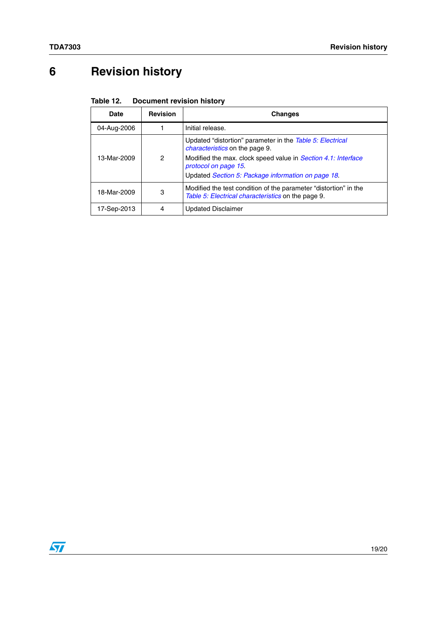# <span id="page-18-0"></span>**6 Revision history**

<span id="page-18-1"></span>

| Table 12. | <b>Document revision history</b> |  |
|-----------|----------------------------------|--|
|-----------|----------------------------------|--|

| Date        | <b>Revision</b> | <b>Changes</b>                                                                                                                                                                                                                                    |
|-------------|-----------------|---------------------------------------------------------------------------------------------------------------------------------------------------------------------------------------------------------------------------------------------------|
| 04-Aug-2006 |                 | Initial release.                                                                                                                                                                                                                                  |
| 13-Mar-2009 | 2               | Updated "distortion" parameter in the Table 5: Electrical<br><i>characteristics</i> on the page 9.<br>Modified the max. clock speed value in Section 4.1: Interface<br>protocol on page 15.<br>Updated Section 5: Package information on page 18. |
| 18-Mar-2009 | 3               | Modified the test condition of the parameter "distortion" in the<br>Table 5: Electrical characteristics on the page 9.                                                                                                                            |
| 17-Sep-2013 | 4               | <b>Updated Disclaimer</b>                                                                                                                                                                                                                         |